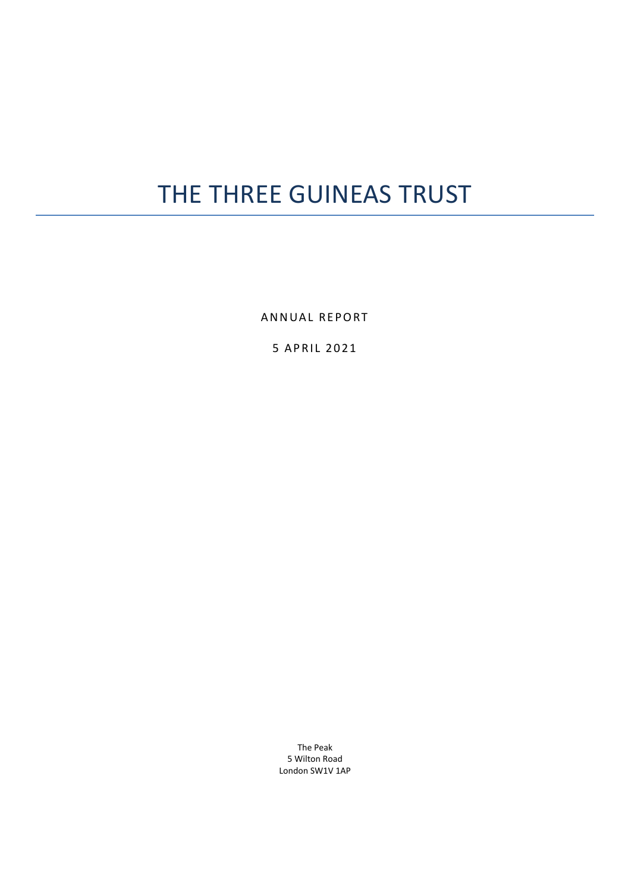# THE THREE GUINEAS TRUST

ANNUAL REPORT

5 APRIL 2021

The Peak 5 Wilton Road London SW1V 1AP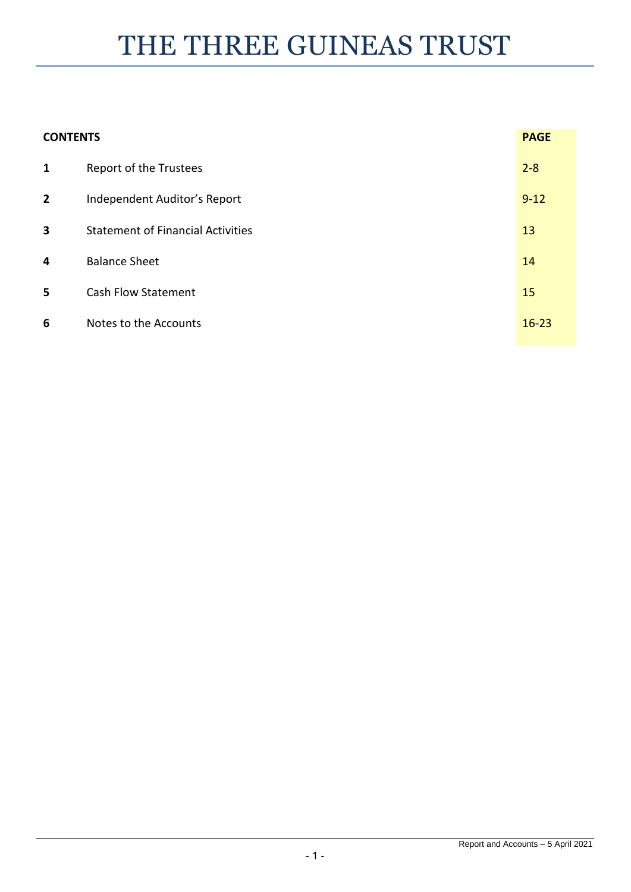# THE THREE GUINEAS TRUST

| <b>CONTENTS</b> |                                          | <b>PAGE</b> |
|-----------------|------------------------------------------|-------------|
| $\mathbf{1}$    | Report of the Trustees                   | $2 - 8$     |
| $\overline{2}$  | Independent Auditor's Report             | $9 - 12$    |
| 3               | <b>Statement of Financial Activities</b> | 13          |
| 4               | <b>Balance Sheet</b>                     | 14          |
| 5               | <b>Cash Flow Statement</b>               | 15          |
| 6               | Notes to the Accounts                    | $16 - 23$   |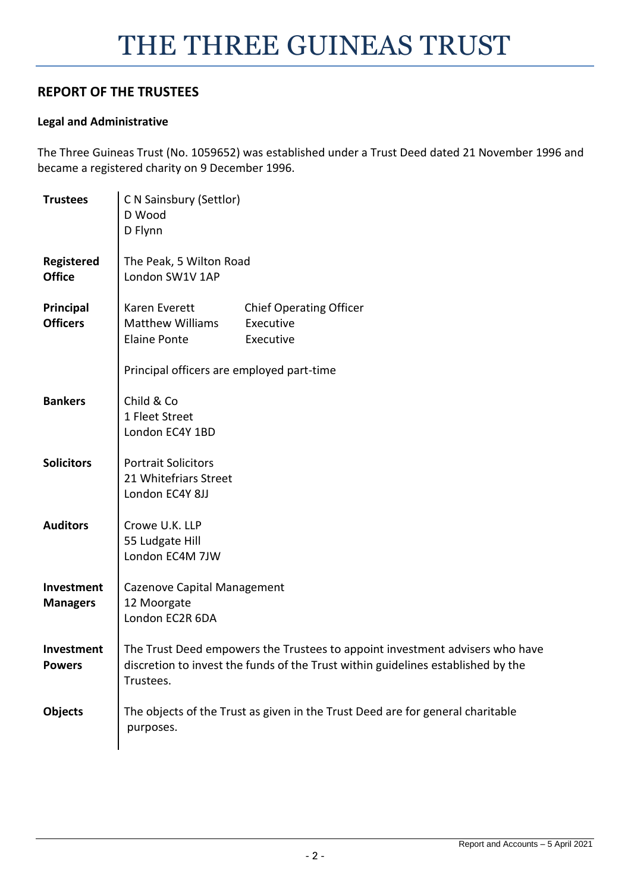# **REPORT OF THE TRUSTEES**

 $\mathbf{r}$ 

# **Legal and Administrative**

The Three Guineas Trust (No. 1059652) was established under a Trust Deed dated 21 November 1996 and became a registered charity on 9 December 1996.

| <b>Trustees</b>               | C N Sainsbury (Settlor)<br>D Wood<br>D Flynn                                                                                                                                  |
|-------------------------------|-------------------------------------------------------------------------------------------------------------------------------------------------------------------------------|
| Registered<br><b>Office</b>   | The Peak, 5 Wilton Road<br>London SW1V 1AP                                                                                                                                    |
| Principal<br><b>Officers</b>  | Karen Everett<br><b>Chief Operating Officer</b><br><b>Matthew Williams</b><br>Executive<br><b>Elaine Ponte</b><br>Executive<br>Principal officers are employed part-time      |
| <b>Bankers</b>                | Child & Co<br>1 Fleet Street<br>London EC4Y 1BD                                                                                                                               |
| <b>Solicitors</b>             | <b>Portrait Solicitors</b><br>21 Whitefriars Street<br>London EC4Y 8JJ                                                                                                        |
| <b>Auditors</b>               | Crowe U.K. LLP<br>55 Ludgate Hill<br>London EC4M 7JW                                                                                                                          |
| Investment<br><b>Managers</b> | Cazenove Capital Management<br>12 Moorgate<br>London EC2R 6DA                                                                                                                 |
| Investment<br><b>Powers</b>   | The Trust Deed empowers the Trustees to appoint investment advisers who have<br>discretion to invest the funds of the Trust within guidelines established by the<br>Trustees. |
| <b>Objects</b>                | The objects of the Trust as given in the Trust Deed are for general charitable<br>purposes.                                                                                   |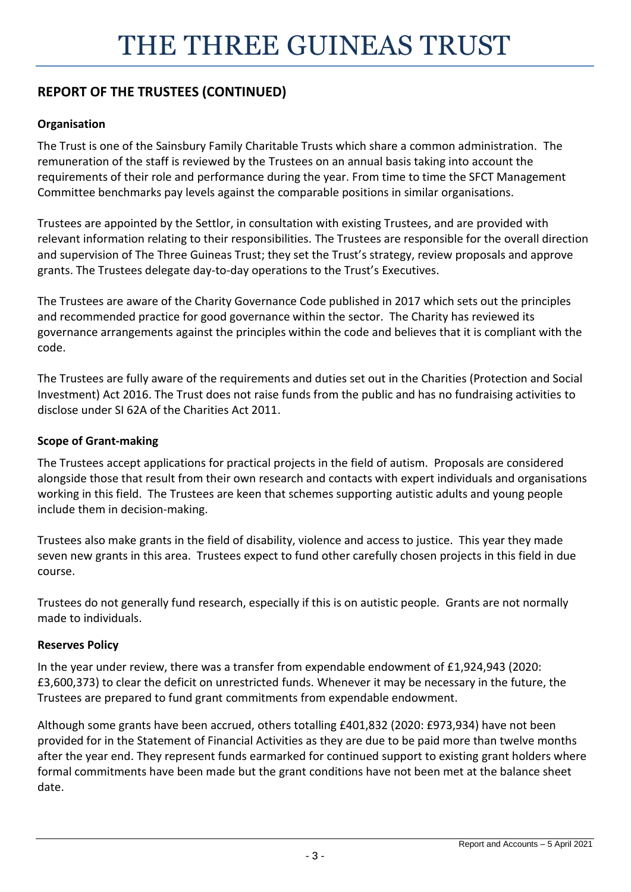# **Organisation**

The Trust is one of the Sainsbury Family Charitable Trusts which share a common administration. The remuneration of the staff is reviewed by the Trustees on an annual basis taking into account the requirements of their role and performance during the year. From time to time the SFCT Management Committee benchmarks pay levels against the comparable positions in similar organisations.

Trustees are appointed by the Settlor, in consultation with existing Trustees, and are provided with relevant information relating to their responsibilities. The Trustees are responsible for the overall direction and supervision of The Three Guineas Trust; they set the Trust's strategy, review proposals and approve grants. The Trustees delegate day-to-day operations to the Trust's Executives.

The Trustees are aware of the Charity Governance Code published in 2017 which sets out the principles and recommended practice for good governance within the sector. The Charity has reviewed its governance arrangements against the principles within the code and believes that it is compliant with the code.

The Trustees are fully aware of the requirements and duties set out in the Charities (Protection and Social Investment) Act 2016. The Trust does not raise funds from the public and has no fundraising activities to disclose under SI 62A of the Charities Act 2011.

# **Scope of Grant-making**

The Trustees accept applications for practical projects in the field of autism. Proposals are considered alongside those that result from their own research and contacts with expert individuals and organisations working in this field. The Trustees are keen that schemes supporting autistic adults and young people include them in decision-making.

Trustees also make grants in the field of disability, violence and access to justice. This year they made seven new grants in this area. Trustees expect to fund other carefully chosen projects in this field in due course.

Trustees do not generally fund research, especially if this is on autistic people. Grants are not normally made to individuals.

# **Reserves Policy**

In the year under review, there was a transfer from expendable endowment of £1,924,943 (2020: £3,600,373) to clear the deficit on unrestricted funds. Whenever it may be necessary in the future, the Trustees are prepared to fund grant commitments from expendable endowment.

Although some grants have been accrued, others totalling £401,832 (2020: £973,934) have not been provided for in the Statement of Financial Activities as they are due to be paid more than twelve months after the year end. They represent funds earmarked for continued support to existing grant holders where formal commitments have been made but the grant conditions have not been met at the balance sheet date.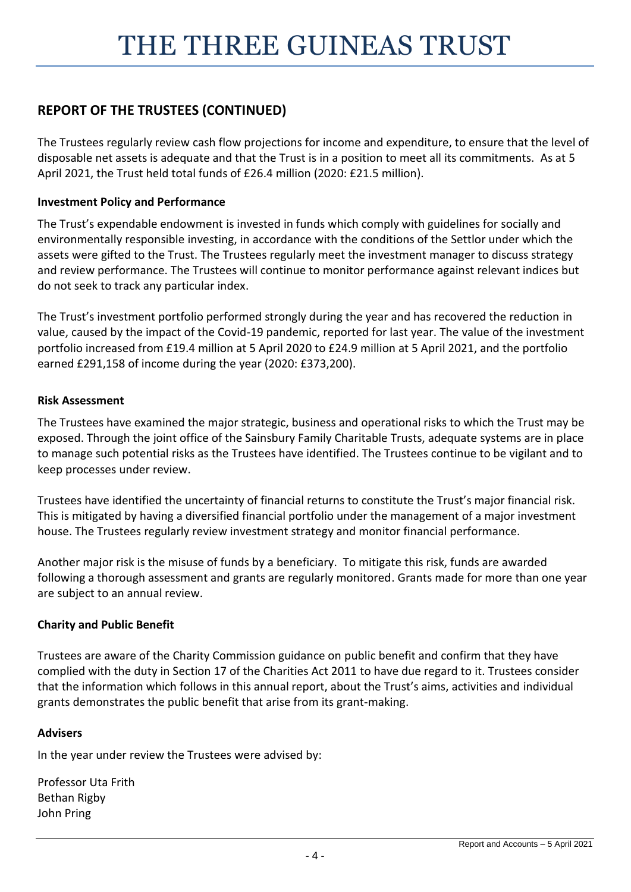The Trustees regularly review cash flow projections for income and expenditure, to ensure that the level of disposable net assets is adequate and that the Trust is in a position to meet all its commitments. As at 5 April 2021, the Trust held total funds of £26.4 million (2020: £21.5 million).

# **Investment Policy and Performance**

The Trust's expendable endowment is invested in funds which comply with guidelines for socially and environmentally responsible investing, in accordance with the conditions of the Settlor under which the assets were gifted to the Trust. The Trustees regularly meet the investment manager to discuss strategy and review performance. The Trustees will continue to monitor performance against relevant indices but do not seek to track any particular index.

The Trust's investment portfolio performed strongly during the year and has recovered the reduction in value, caused by the impact of the Covid-19 pandemic, reported for last year. The value of the investment portfolio increased from £19.4 million at 5 April 2020 to £24.9 million at 5 April 2021, and the portfolio earned £291,158 of income during the year (2020: £373,200).

# **Risk Assessment**

The Trustees have examined the major strategic, business and operational risks to which the Trust may be exposed. Through the joint office of the Sainsbury Family Charitable Trusts, adequate systems are in place to manage such potential risks as the Trustees have identified. The Trustees continue to be vigilant and to keep processes under review.

Trustees have identified the uncertainty of financial returns to constitute the Trust's major financial risk. This is mitigated by having a diversified financial portfolio under the management of a major investment house. The Trustees regularly review investment strategy and monitor financial performance.

Another major risk is the misuse of funds by a beneficiary. To mitigate this risk, funds are awarded following a thorough assessment and grants are regularly monitored. Grants made for more than one year are subject to an annual review.

# **Charity and Public Benefit**

Trustees are aware of the Charity Commission guidance on public benefit and confirm that they have complied with the duty in Section 17 of the Charities Act 2011 to have due regard to it. Trustees consider that the information which follows in this annual report, about the Trust's aims, activities and individual grants demonstrates the public benefit that arise from its grant-making.

# **Advisers**

In the year under review the Trustees were advised by:

Professor Uta Frith Bethan Rigby John Pring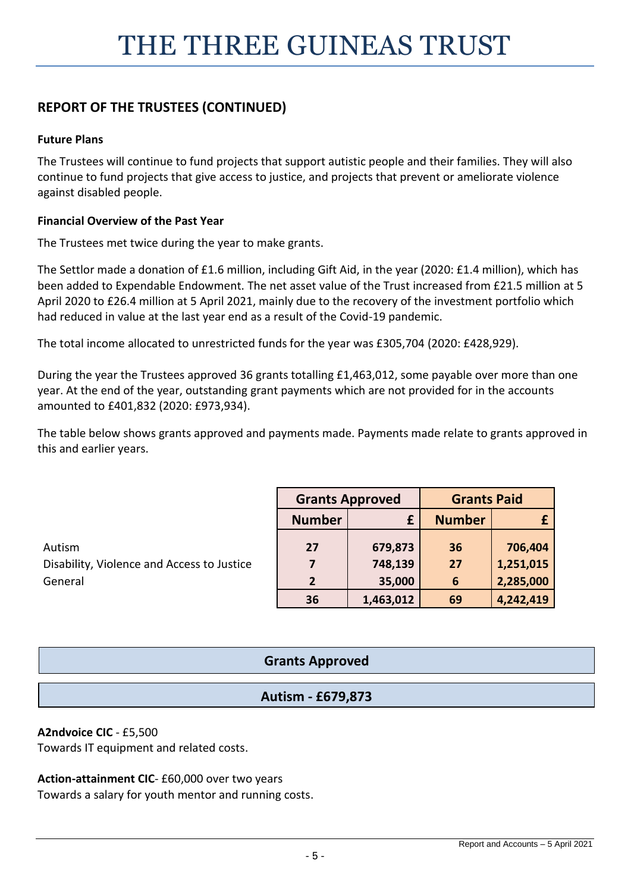# **Future Plans**

The Trustees will continue to fund projects that support autistic people and their families. They will also continue to fund projects that give access to justice, and projects that prevent or ameliorate violence against disabled people.

# **Financial Overview of the Past Year**

The Trustees met twice during the year to make grants.

The Settlor made a donation of £1.6 million, including Gift Aid, in the year (2020: £1.4 million), which has been added to Expendable Endowment. The net asset value of the Trust increased from £21.5 million at 5 April 2020 to £26.4 million at 5 April 2021, mainly due to the recovery of the investment portfolio which had reduced in value at the last year end as a result of the Covid-19 pandemic.

The total income allocated to unrestricted funds for the year was £305,704 (2020: £428,929).

During the year the Trustees approved 36 grants totalling £1,463,012, some payable over more than one year. At the end of the year, outstanding grant payments which are not provided for in the accounts amounted to £401,832 (2020: £973,934).

The table below shows grants approved and payments made. Payments made relate to grants approved in this and earlier years.

|                                            | <b>Grants Approved</b> |           | <b>Grants Paid</b> |           |  |
|--------------------------------------------|------------------------|-----------|--------------------|-----------|--|
|                                            | <b>Number</b>          |           | <b>Number</b>      |           |  |
| Autism                                     | 27                     | 679,873   | 36                 | 706,404   |  |
| Disability, Violence and Access to Justice |                        | 748,139   | 27                 | 1,251,015 |  |
| General                                    | $\overline{2}$         | 35,000    | 6                  | 2,285,000 |  |
|                                            | 36                     | 1,463,012 | 69                 | 4,242,419 |  |

# **Grants Approved**

# **Autism - £679,873**

# **A2ndvoice CIC** - £5,500

Towards IT equipment and related costs.

# **Action-attainment CIC**- £60,000 over two years

Towards a salary for youth mentor and running costs.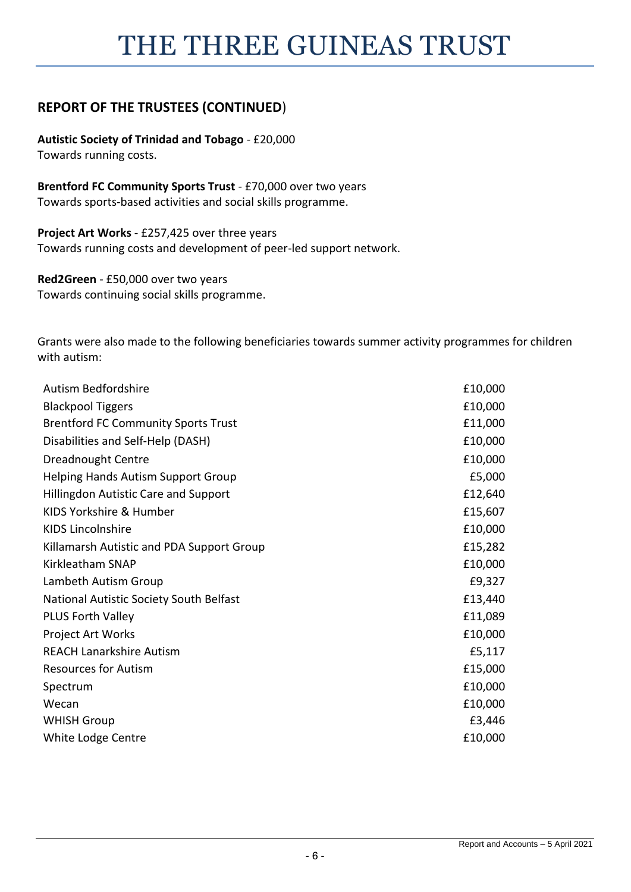**Autistic Society of Trinidad and Tobago** - £20,000 Towards running costs.

**Brentford FC Community Sports Trust** - £70,000 over two years Towards sports-based activities and social skills programme.

**Project Art Works** - £257,425 over three years Towards running costs and development of peer-led support network.

**Red2Green** - £50,000 over two years Towards continuing social skills programme.

Grants were also made to the following beneficiaries towards summer activity programmes for children with autism:

| Autism Bedfordshire                         | £10,000 |
|---------------------------------------------|---------|
| <b>Blackpool Tiggers</b>                    | £10,000 |
| <b>Brentford FC Community Sports Trust</b>  | £11,000 |
| Disabilities and Self-Help (DASH)           | £10,000 |
| Dreadnought Centre                          | £10,000 |
| <b>Helping Hands Autism Support Group</b>   | £5,000  |
| <b>Hillingdon Autistic Care and Support</b> | £12,640 |
| KIDS Yorkshire & Humber                     | £15,607 |
| <b>KIDS Lincolnshire</b>                    | £10,000 |
| Killamarsh Autistic and PDA Support Group   | £15,282 |
| Kirkleatham SNAP                            | £10,000 |
| Lambeth Autism Group                        | £9,327  |
| National Autistic Society South Belfast     | £13,440 |
| <b>PLUS Forth Valley</b>                    | £11,089 |
| <b>Project Art Works</b>                    | £10,000 |
| <b>REACH Lanarkshire Autism</b>             | £5,117  |
| <b>Resources for Autism</b>                 | £15,000 |
| Spectrum                                    | £10,000 |
| Wecan                                       | £10,000 |
| <b>WHISH Group</b>                          | £3,446  |
| White Lodge Centre                          | £10,000 |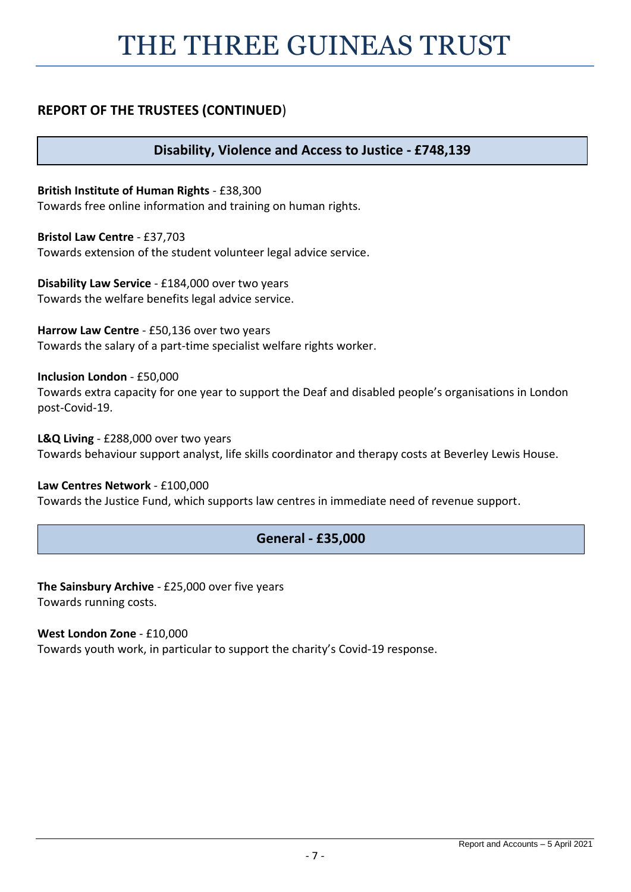# THE THREE GUINEAS TRUST

# **REPORT OF THE TRUSTEES (CONTINUED**)

**Disability, Violence and Access to Justice - £748,139**

**British Institute of Human Rights** - £38,300 Towards free online information and training on human rights.

**Bristol Law Centre** - £37,703 Towards extension of the student volunteer legal advice service.

**Disability Law Service** - £184,000 over two years Towards the welfare benefits legal advice service.

**Harrow Law Centre** - £50,136 over two years Towards the salary of a part-time specialist welfare rights worker.

**Inclusion London** - £50,000

Towards extra capacity for one year to support the Deaf and disabled people's organisations in London post-Covid-19.

**L&Q Living** - £288,000 over two years Towards behaviour support analyst, life skills coordinator and therapy costs at Beverley Lewis House.

**Law Centres Network** - £100,000 Towards the Justice Fund, which supports law centres in immediate need of revenue support.

# **General - £35,000**

**The Sainsbury Archive** - £25,000 over five years Towards running costs.

**West London Zone** - £10,000 Towards youth work, in particular to support the charity's Covid-19 response.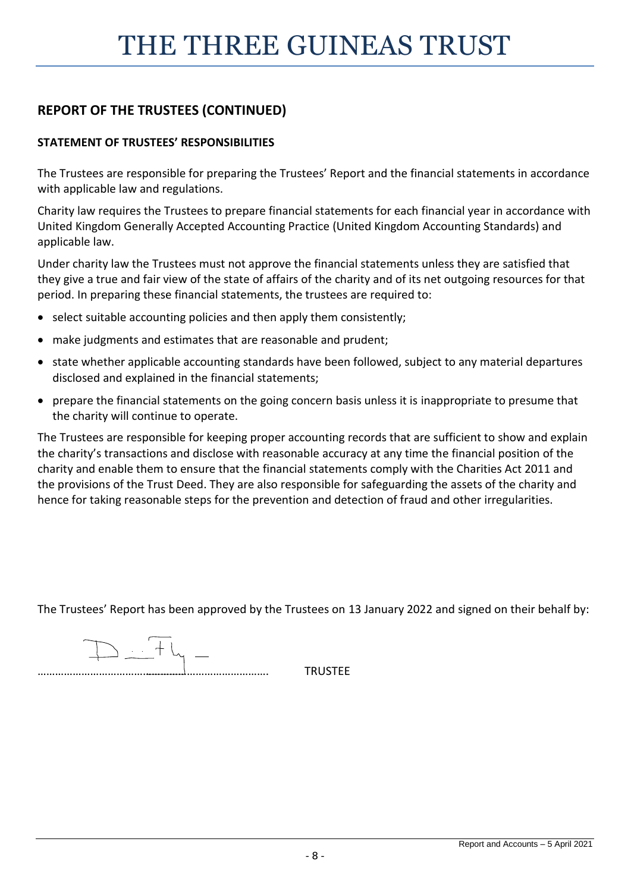# **STATEMENT OF TRUSTEES' RESPONSIBILITIES**

The Trustees are responsible for preparing the Trustees' Report and the financial statements in accordance with applicable law and regulations.

Charity law requires the Trustees to prepare financial statements for each financial year in accordance with United Kingdom Generally Accepted Accounting Practice (United Kingdom Accounting Standards) and applicable law.

Under charity law the Trustees must not approve the financial statements unless they are satisfied that they give a true and fair view of the state of affairs of the charity and of its net outgoing resources for that period. In preparing these financial statements, the trustees are required to:

- select suitable accounting policies and then apply them consistently;
- make judgments and estimates that are reasonable and prudent;
- state whether applicable accounting standards have been followed, subject to any material departures disclosed and explained in the financial statements;
- prepare the financial statements on the going concern basis unless it is inappropriate to presume that the charity will continue to operate.

The Trustees are responsible for keeping proper accounting records that are sufficient to show and explain the charity's transactions and disclose with reasonable accuracy at any time the financial position of the charity and enable them to ensure that the financial statements comply with the Charities Act 2011 and the provisions of the Trust Deed. They are also responsible for safeguarding the assets of the charity and hence for taking reasonable steps for the prevention and detection of fraud and other irregularities.

The Trustees' Report has been approved by the Trustees on 13 January 2022 and signed on their behalf by:

 $\begin{array}{c} \begin{array}{c} \end{array} & \begin{array}{c} \end{array} & \end{array}$ 

……………………………………………………………………. TRUSTEE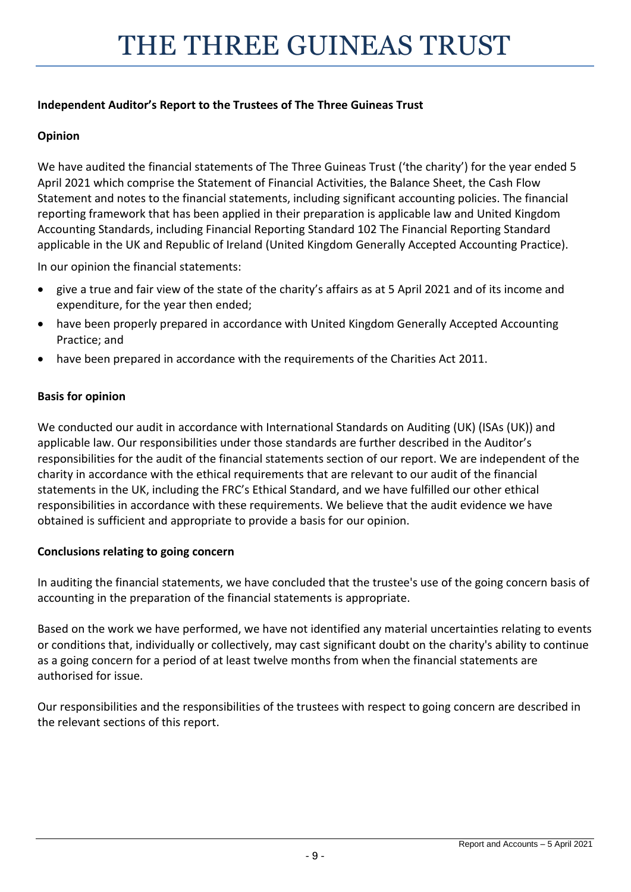# **Independent Auditor's Report to the Trustees of The Three Guineas Trust**

# **Opinion**

We have audited the financial statements of The Three Guineas Trust ('the charity') for the year ended 5 April 2021 which comprise the Statement of Financial Activities, the Balance Sheet, the Cash Flow Statement and notes to the financial statements, including significant accounting policies. The financial reporting framework that has been applied in their preparation is applicable law and United Kingdom Accounting Standards, including Financial Reporting Standard 102 The Financial Reporting Standard applicable in the UK and Republic of Ireland (United Kingdom Generally Accepted Accounting Practice).

In our opinion the financial statements:

- give a true and fair view of the state of the charity's affairs as at 5 April 2021 and of its income and expenditure, for the year then ended;
- have been properly prepared in accordance with United Kingdom Generally Accepted Accounting Practice; and
- have been prepared in accordance with the requirements of the Charities Act 2011.

# **Basis for opinion**

We conducted our audit in accordance with International Standards on Auditing (UK) (ISAs (UK)) and applicable law. Our responsibilities under those standards are further described in the Auditor's responsibilities for the audit of the financial statements section of our report. We are independent of the charity in accordance with the ethical requirements that are relevant to our audit of the financial statements in the UK, including the FRC's Ethical Standard, and we have fulfilled our other ethical responsibilities in accordance with these requirements. We believe that the audit evidence we have obtained is sufficient and appropriate to provide a basis for our opinion.

# **Conclusions relating to going concern**

In auditing the financial statements, we have concluded that the trustee's use of the going concern basis of accounting in the preparation of the financial statements is appropriate.

Based on the work we have performed, we have not identified any material uncertainties relating to events or conditions that, individually or collectively, may cast significant doubt on the charity's ability to continue as a going concern for a period of at least twelve months from when the financial statements are authorised for issue.

Our responsibilities and the responsibilities of the trustees with respect to going concern are described in the relevant sections of this report.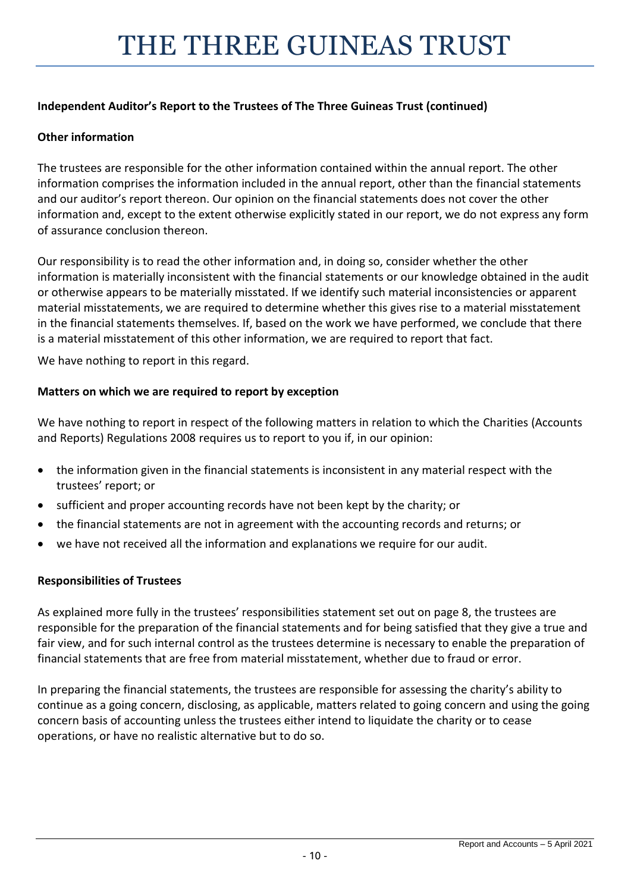# **Independent Auditor's Report to the Trustees of The Three Guineas Trust (continued)**

# **Other information**

The trustees are responsible for the other information contained within the annual report. The other information comprises the information included in the annual report, other than the financial statements and our auditor's report thereon. Our opinion on the financial statements does not cover the other information and, except to the extent otherwise explicitly stated in our report, we do not express any form of assurance conclusion thereon.

Our responsibility is to read the other information and, in doing so, consider whether the other information is materially inconsistent with the financial statements or our knowledge obtained in the audit or otherwise appears to be materially misstated. If we identify such material inconsistencies or apparent material misstatements, we are required to determine whether this gives rise to a material misstatement in the financial statements themselves. If, based on the work we have performed, we conclude that there is a material misstatement of this other information, we are required to report that fact.

We have nothing to report in this regard.

# **Matters on which we are required to report by exception**

We have nothing to report in respect of the following matters in relation to which the Charities (Accounts and Reports) Regulations 2008 requires us to report to you if, in our opinion:

- the information given in the financial statements is inconsistent in any material respect with the trustees' report; or
- sufficient and proper accounting records have not been kept by the charity; or
- the financial statements are not in agreement with the accounting records and returns; or
- we have not received all the information and explanations we require for our audit.

# **Responsibilities of Trustees**

As explained more fully in the trustees' responsibilities statement set out on page 8, the trustees are responsible for the preparation of the financial statements and for being satisfied that they give a true and fair view, and for such internal control as the trustees determine is necessary to enable the preparation of financial statements that are free from material misstatement, whether due to fraud or error.

In preparing the financial statements, the trustees are responsible for assessing the charity's ability to continue as a going concern, disclosing, as applicable, matters related to going concern and using the going concern basis of accounting unless the trustees either intend to liquidate the charity or to cease operations, or have no realistic alternative but to do so.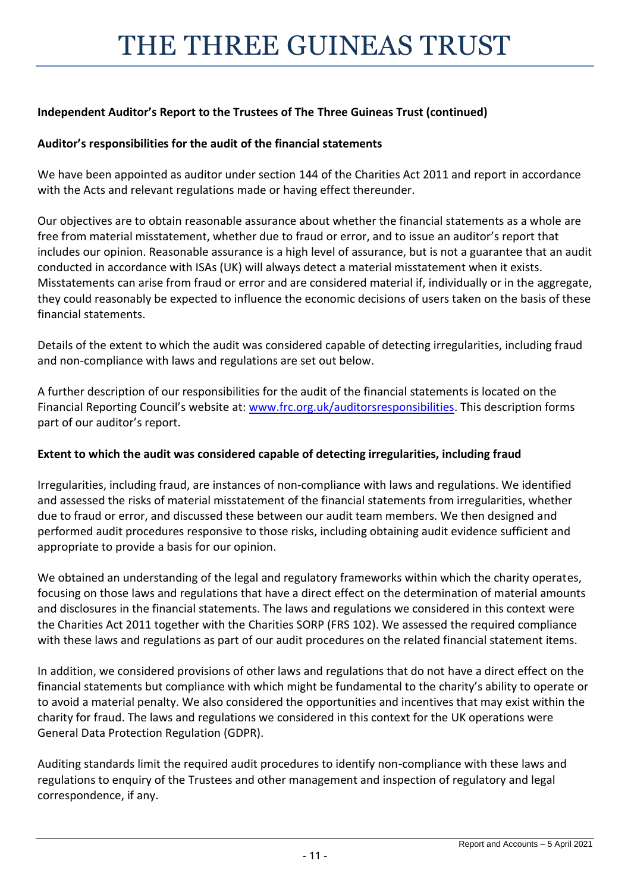# **Independent Auditor's Report to the Trustees of The Three Guineas Trust (continued)**

# **Auditor's responsibilities for the audit of the financial statements**

We have been appointed as auditor under section 144 of the Charities Act 2011 and report in accordance with the Acts and relevant regulations made or having effect thereunder.

Our objectives are to obtain reasonable assurance about whether the financial statements as a whole are free from material misstatement, whether due to fraud or error, and to issue an auditor's report that includes our opinion. Reasonable assurance is a high level of assurance, but is not a guarantee that an audit conducted in accordance with ISAs (UK) will always detect a material misstatement when it exists. Misstatements can arise from fraud or error and are considered material if, individually or in the aggregate, they could reasonably be expected to influence the economic decisions of users taken on the basis of these financial statements.

Details of the extent to which the audit was considered capable of detecting irregularities, including fraud and non-compliance with laws and regulations are set out below.

A further description of our responsibilities for the audit of the financial statements is located on the Financial Reporting Council's website at: www.frc.org.uk/auditorsresponsibilities. This description forms part of our auditor's report.

# **Extent to which the audit was considered capable of detecting irregularities, including fraud**

Irregularities, including fraud, are instances of non-compliance with laws and regulations. We identified and assessed the risks of material misstatement of the financial statements from irregularities, whether due to fraud or error, and discussed these between our audit team members. We then designed and performed audit procedures responsive to those risks, including obtaining audit evidence sufficient and appropriate to provide a basis for our opinion.

We obtained an understanding of the legal and regulatory frameworks within which the charity operates, focusing on those laws and regulations that have a direct effect on the determination of material amounts and disclosures in the financial statements. The laws and regulations we considered in this context were the Charities Act 2011 together with the Charities SORP (FRS 102). We assessed the required compliance with these laws and regulations as part of our audit procedures on the related financial statement items.

In addition, we considered provisions of other laws and regulations that do not have a direct effect on the financial statements but compliance with which might be fundamental to the charity's ability to operate or to avoid a material penalty. We also considered the opportunities and incentives that may exist within the charity for fraud. The laws and regulations we considered in this context for the UK operations were General Data Protection Regulation (GDPR).

Auditing standards limit the required audit procedures to identify non-compliance with these laws and regulations to enquiry of the Trustees and other management and inspection of regulatory and legal correspondence, if any.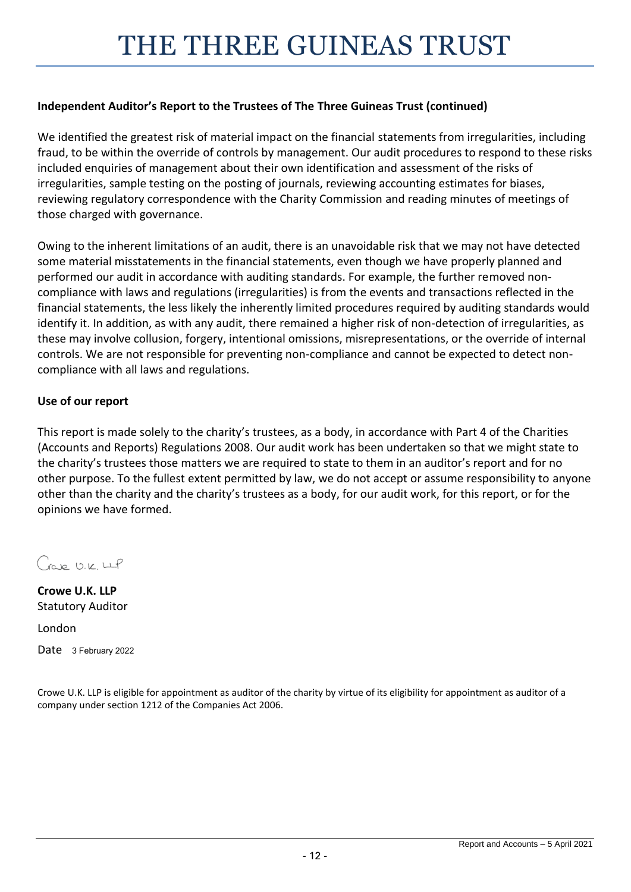# **Independent Auditor's Report to the Trustees of The Three Guineas Trust (continued)**

We identified the greatest risk of material impact on the financial statements from irregularities, including fraud, to be within the override of controls by management. Our audit procedures to respond to these risks included enquiries of management about their own identification and assessment of the risks of irregularities, sample testing on the posting of journals, reviewing accounting estimates for biases, reviewing regulatory correspondence with the Charity Commission and reading minutes of meetings of those charged with governance.

Owing to the inherent limitations of an audit, there is an unavoidable risk that we may not have detected some material misstatements in the financial statements, even though we have properly planned and performed our audit in accordance with auditing standards. For example, the further removed noncompliance with laws and regulations (irregularities) is from the events and transactions reflected in the financial statements, the less likely the inherently limited procedures required by auditing standards would identify it. In addition, as with any audit, there remained a higher risk of non-detection of irregularities, as these may involve collusion, forgery, intentional omissions, misrepresentations, or the override of internal controls. We are not responsible for preventing non-compliance and cannot be expected to detect noncompliance with all laws and regulations.

# **Use of our report**

This report is made solely to the charity's trustees, as a body, in accordance with Part 4 of the Charities (Accounts and Reports) Regulations 2008. Our audit work has been undertaken so that we might state to the charity's trustees those matters we are required to state to them in an auditor's report and for no other purpose. To the fullest extent permitted by law, we do not accept or assume responsibility to anyone other than the charity and the charity's trustees as a body, for our audit work, for this report, or for the opinions we have formed.

Gap U.K. LLP

**Crowe U.K. LLP** Statutory Auditor

London

Date 3 February 2022

Crowe U.K. LLP is eligible for appointment as auditor of the charity by virtue of its eligibility for appointment as auditor of a company under section 1212 of the Companies Act 2006.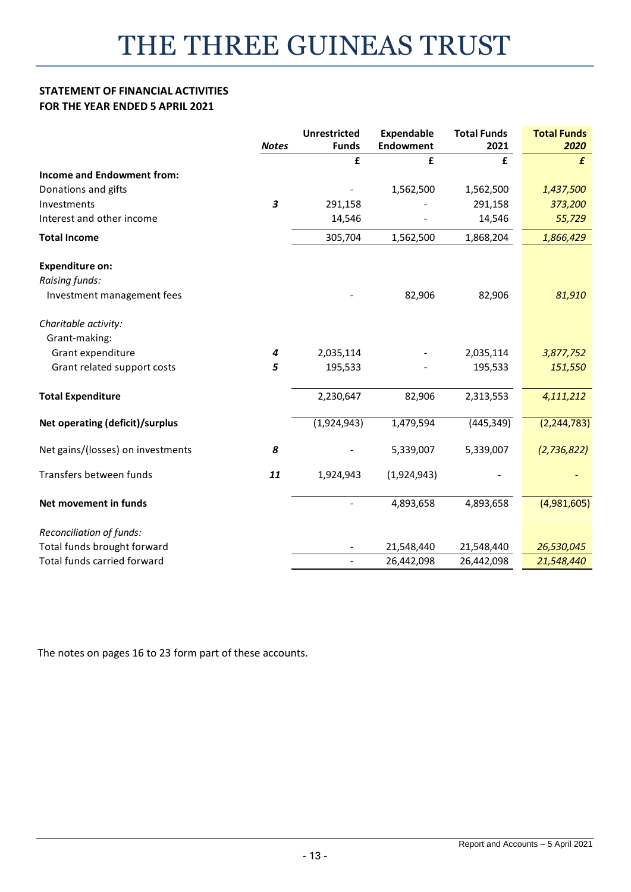### **STATEMENT OF FINANCIAL ACTIVITIES FOR THE YEAR ENDED 5 APRIL 2021**

|                                        | <b>Notes</b> | <b>Unrestricted</b><br><b>Funds</b> | <b>Expendable</b><br><b>Endowment</b> | <b>Total Funds</b><br>2021 | <b>Total Funds</b><br>2020 |
|----------------------------------------|--------------|-------------------------------------|---------------------------------------|----------------------------|----------------------------|
|                                        |              | £                                   | £                                     | £                          | £                          |
| <b>Income and Endowment from:</b>      |              |                                     |                                       |                            |                            |
| Donations and gifts                    |              |                                     | 1,562,500                             | 1,562,500                  | 1,437,500                  |
| Investments                            | 3            | 291,158                             |                                       | 291,158                    | 373,200                    |
| Interest and other income              |              | 14,546                              |                                       | 14,546                     | 55,729                     |
| <b>Total Income</b>                    |              | 305,704                             | 1,562,500                             | 1,868,204                  | 1,866,429                  |
| <b>Expenditure on:</b>                 |              |                                     |                                       |                            |                            |
| Raising funds:                         |              |                                     |                                       |                            |                            |
| Investment management fees             |              |                                     | 82,906                                | 82,906                     | 81,910                     |
| Charitable activity:                   |              |                                     |                                       |                            |                            |
| Grant-making:                          |              |                                     |                                       |                            |                            |
| Grant expenditure                      | 4            | 2,035,114                           |                                       | 2,035,114                  | 3,877,752                  |
| Grant related support costs            | 5            | 195,533                             |                                       | 195,533                    | 151,550                    |
| <b>Total Expenditure</b>               |              | 2,230,647                           | 82,906                                | 2,313,553                  | 4,111,212                  |
| <b>Net operating (deficit)/surplus</b> |              | (1,924,943)                         | 1,479,594                             | (445, 349)                 | (2, 244, 783)              |
| Net gains/(losses) on investments      | 8            |                                     | 5,339,007                             | 5,339,007                  | (2,736,822)                |
| Transfers between funds                | 11           | 1,924,943                           | (1,924,943)                           |                            |                            |
| Net movement in funds                  |              |                                     | 4,893,658                             | 4,893,658                  | (4,981,605)                |
| Reconciliation of funds:               |              |                                     |                                       |                            |                            |
| Total funds brought forward            |              |                                     | 21,548,440                            | 21,548,440                 | 26,530,045                 |
| Total funds carried forward            |              | $\blacksquare$                      | 26,442,098                            | 26,442,098                 | 21,548,440                 |

The notes on pages 16 to 23 form part of these accounts.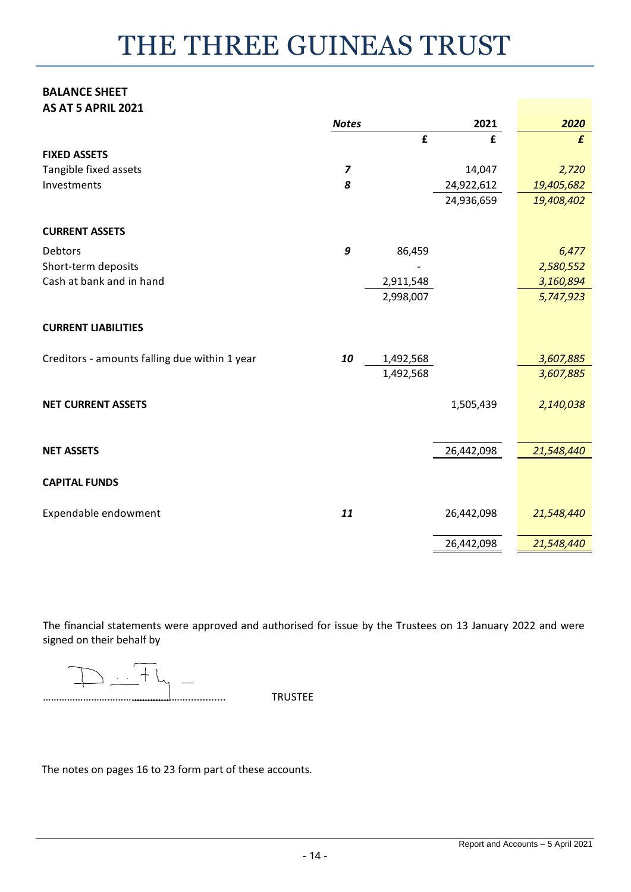#### **BALANCE SHEET AS AT 5 APRIL 2021**

| AJ AT J AF NIL ZUZI                           |                |           |            |                  |
|-----------------------------------------------|----------------|-----------|------------|------------------|
|                                               | <b>Notes</b>   |           | 2021       | 2020             |
|                                               |                | £         | £          | $\boldsymbol{f}$ |
| <b>FIXED ASSETS</b>                           |                |           |            |                  |
| Tangible fixed assets                         | $\overline{z}$ |           | 14,047     | 2,720            |
| Investments                                   | 8              |           | 24,922,612 | 19,405,682       |
|                                               |                |           | 24,936,659 | 19,408,402       |
|                                               |                |           |            |                  |
| <b>CURRENT ASSETS</b>                         |                |           |            |                  |
| Debtors                                       | 9              | 86,459    |            | 6,477            |
| Short-term deposits                           |                |           |            | 2,580,552        |
| Cash at bank and in hand                      |                | 2,911,548 |            | 3,160,894        |
|                                               |                | 2,998,007 |            | 5,747,923        |
|                                               |                |           |            |                  |
| <b>CURRENT LIABILITIES</b>                    |                |           |            |                  |
| Creditors - amounts falling due within 1 year | 10             | 1,492,568 |            | 3,607,885        |
|                                               |                | 1,492,568 |            | 3,607,885        |
|                                               |                |           |            |                  |
| <b>NET CURRENT ASSETS</b>                     |                |           | 1,505,439  | 2,140,038        |
|                                               |                |           |            |                  |
|                                               |                |           |            |                  |
| <b>NET ASSETS</b>                             |                |           | 26,442,098 | 21,548,440       |
|                                               |                |           |            |                  |
| <b>CAPITAL FUNDS</b>                          |                |           |            |                  |
|                                               |                |           |            |                  |
| Expendable endowment                          | 11             |           | 26,442,098 | 21,548,440       |
|                                               |                |           |            |                  |
|                                               |                |           | 26,442,098 | 21,548,440       |

The financial statements were approved and authorised for issue by the Trustees on 13 January 2022 and were signed on their behalf by

The notes on pages 16 to 23 form part of these accounts.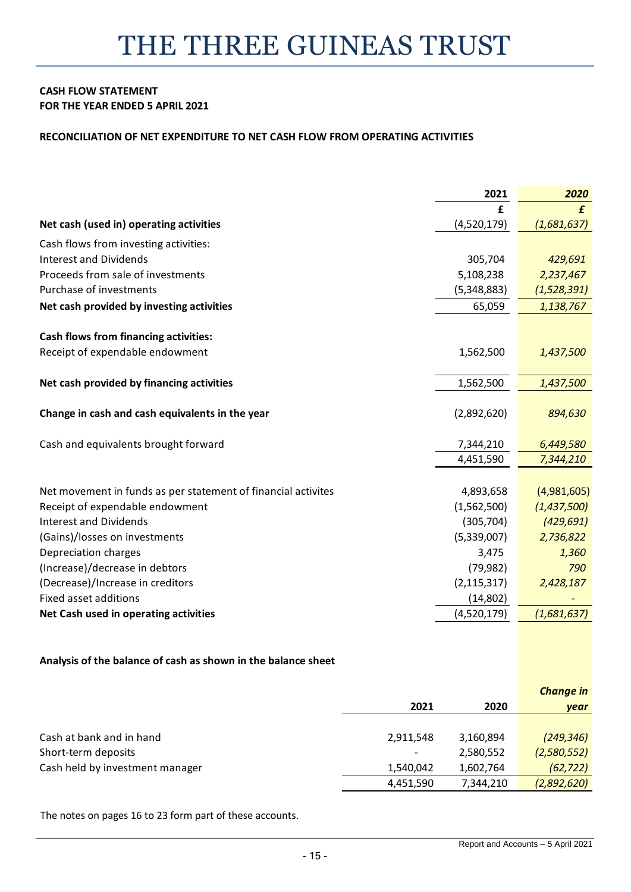#### **CASH FLOW STATEMENT FOR THE YEAR ENDED 5 APRIL 2021**

#### **RECONCILIATION OF NET EXPENDITURE TO NET CASH FLOW FROM OPERATING ACTIVITIES**

|                                                               | 2021          | 2020        |
|---------------------------------------------------------------|---------------|-------------|
|                                                               | £             | £           |
| Net cash (used in) operating activities                       | (4,520,179)   | (1,681,637) |
| Cash flows from investing activities:                         |               |             |
| <b>Interest and Dividends</b>                                 | 305,704       | 429,691     |
| Proceeds from sale of investments                             | 5,108,238     | 2,237,467   |
| Purchase of investments                                       | (5,348,883)   | (1,528,391) |
| Net cash provided by investing activities                     | 65,059        | 1,138,767   |
| <b>Cash flows from financing activities:</b>                  |               |             |
| Receipt of expendable endowment                               | 1,562,500     | 1,437,500   |
| Net cash provided by financing activities                     | 1,562,500     | 1,437,500   |
| Change in cash and cash equivalents in the year               | (2,892,620)   | 894,630     |
| Cash and equivalents brought forward                          | 7,344,210     | 6,449,580   |
|                                                               | 4,451,590     | 7,344,210   |
| Net movement in funds as per statement of financial activites | 4,893,658     | (4,981,605) |
| Receipt of expendable endowment                               | (1,562,500)   | (1,437,500) |
| <b>Interest and Dividends</b>                                 | (305, 704)    | (429, 691)  |
| (Gains)/losses on investments                                 | (5,339,007)   | 2,736,822   |
| Depreciation charges                                          | 3,475         | 1,360       |
| (Increase)/decrease in debtors                                | (79, 982)     | 790         |
| (Decrease)/Increase in creditors                              | (2, 115, 317) | 2,428,187   |
| Fixed asset additions                                         | (14, 802)     |             |
| Net Cash used in operating activities                         | (4,520,179)   | (1,681,637) |
|                                                               |               |             |

#### **Analysis of the balance of cash as shown in the balance sheet**

|                                 |                          |           | <b>Change in</b> |
|---------------------------------|--------------------------|-----------|------------------|
|                                 | 2021                     | 2020      | year             |
|                                 |                          |           |                  |
| Cash at bank and in hand        | 2,911,548                | 3,160,894 | (249, 346)       |
| Short-term deposits             | $\overline{\phantom{a}}$ | 2,580,552 | (2,580,552)      |
| Cash held by investment manager | 1,540,042                | 1,602,764 | (62, 722)        |
|                                 | 4,451,590                | 7,344,210 | (2,892,620)      |

The notes on pages 16 to 23 form part of these accounts.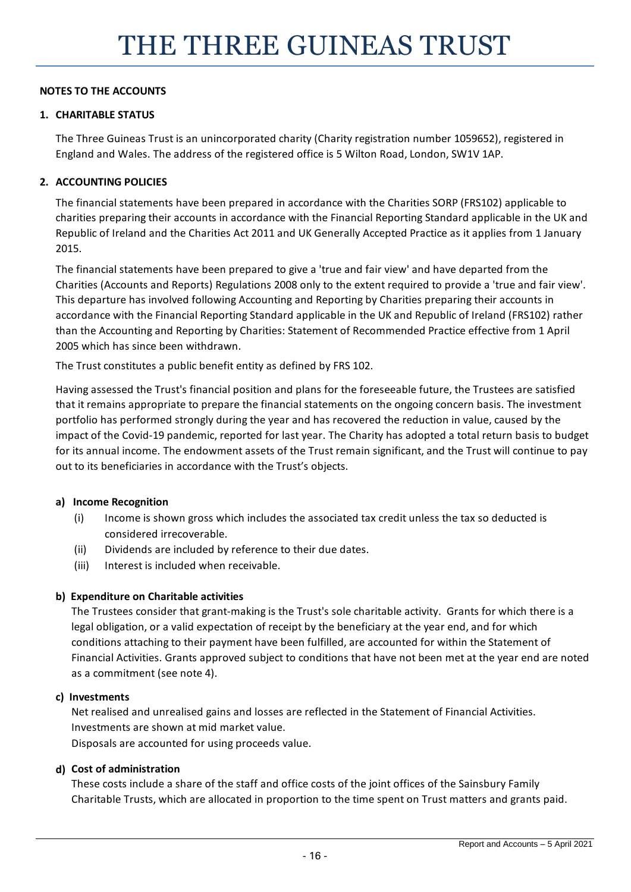## **NOTES TO THE ACCOUNTS**

## **1. CHARITABLE STATUS**

The Three Guineas Trust is an unincorporated charity (Charity registration number 1059652), registered in England and Wales. The address of the registered office is 5 Wilton Road, London, SW1V 1AP.

### **2. ACCOUNTING POLICIES**

The financial statements have been prepared in accordance with the Charities SORP (FRS102) applicable to charities preparing their accounts in accordance with the Financial Reporting Standard applicable in the UK and Republic of Ireland and the Charities Act 2011 and UK Generally Accepted Practice as it applies from 1 January 2015.

The financial statements have been prepared to give a 'true and fair view' and have departed from the Charities (Accounts and Reports) Regulations 2008 only to the extent required to provide a 'true and fair view'. This departure has involved following Accounting and Reporting by Charities preparing their accounts in accordance with the Financial Reporting Standard applicable in the UK and Republic of Ireland (FRS102) rather than the Accounting and Reporting by Charities: Statement of Recommended Practice effective from 1 April 2005 which has since been withdrawn.

The Trust constitutes a public benefit entity as defined by FRS 102.

Having assessed the Trust's financial position and plans for the foreseeable future, the Trustees are satisfied that it remains appropriate to prepare the financial statements on the ongoing concern basis. The investment portfolio has performed strongly during the year and has recovered the reduction in value, caused by the impact of the Covid-19 pandemic, reported for last year. The Charity has adopted a total return basis to budget for its annual income. The endowment assets of the Trust remain significant, and the Trust will continue to pay out to its beneficiaries in accordance with the Trust's objects.

#### **a) Income Recognition**

- (i) Income is shown gross which includes the associated tax credit unless the tax so deducted is considered irrecoverable.
- (ii) Dividends are included by reference to their due dates.
- (iii) Interest is included when receivable.

# **b) Expenditure on Charitable activities**

The Trustees consider that grant-making is the Trust's sole charitable activity. Grants for which there is a legal obligation, or a valid expectation of receipt by the beneficiary at the year end, and for which conditions attaching to their payment have been fulfilled, are accounted for within the Statement of Financial Activities. Grants approved subject to conditions that have not been met at the year end are noted as a commitment (see note 4).

#### **c) Investments**

Net realised and unrealised gains and losses are reflected in the Statement of Financial Activities. Investments are shown at mid market value.

Disposals are accounted for using proceeds value.

#### **d)** Cost of administration

These costs include a share of the staff and office costs of the joint offices of the Sainsbury Family Charitable Trusts, which are allocated in proportion to the time spent on Trust matters and grants paid.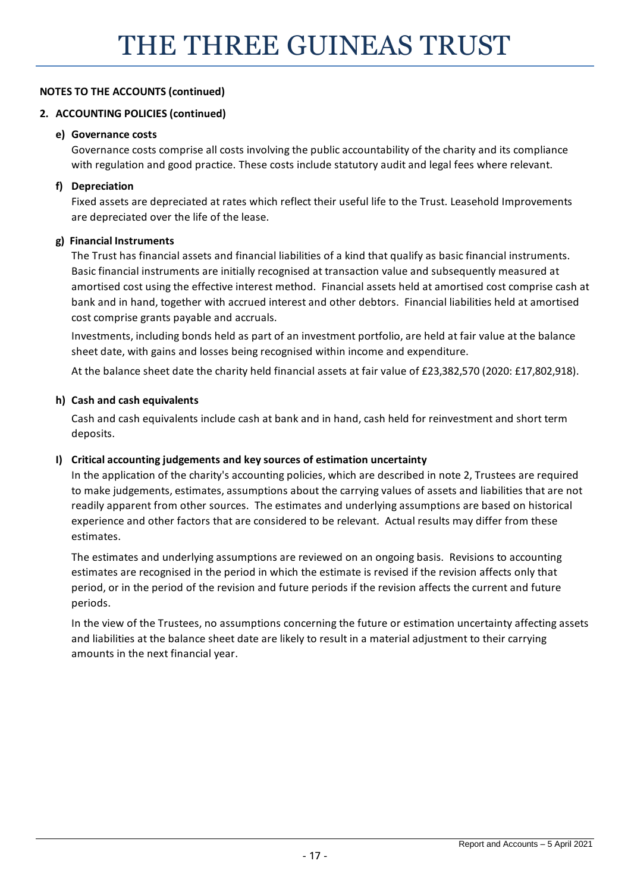## **2. ACCOUNTING POLICIES (continued)**

#### **e) Governance costs**

Governance costs comprise all costs involving the public accountability of the charity and its compliance with regulation and good practice. These costs include statutory audit and legal fees where relevant.

## **f) Depreciation**

Fixed assets are depreciated at rates which reflect their useful life to the Trust. Leasehold Improvements are depreciated over the life of the lease.

### **g) Financial Instruments**

The Trust has financial assets and financial liabilities of a kind that qualify as basic financial instruments. Basic financial instruments are initially recognised at transaction value and subsequently measured at amortised cost using the effective interest method. Financial assets held at amortised cost comprise cash at bank and in hand, together with accrued interest and other debtors. Financial liabilities held at amortised cost comprise grants payable and accruals.

Investments, including bonds held as part of an investment portfolio, are held at fair value at the balance sheet date, with gains and losses being recognised within income and expenditure.

At the balance sheet date the charity held financial assets at fair value of £23,382,570 (2020: £17,802,918).

#### **h) Cash and cash equivalents**

Cash and cash equivalents include cash at bank and in hand, cash held for reinvestment and short term deposits.

# **I) Critical accounting judgements and key sources of estimation uncertainty**

In the application of the charity's accounting policies, which are described in note 2, Trustees are required to make judgements, estimates, assumptions about the carrying values of assets and liabilities that are not readily apparent from other sources. The estimates and underlying assumptions are based on historical experience and other factors that are considered to be relevant. Actual results may differ from these estimates.

The estimates and underlying assumptions are reviewed on an ongoing basis. Revisions to accounting estimates are recognised in the period in which the estimate is revised if the revision affects only that period, or in the period of the revision and future periods if the revision affects the current and future periods.

In the view of the Trustees, no assumptions concerning the future or estimation uncertainty affecting assets and liabilities at the balance sheet date are likely to result in a material adjustment to their carrying amounts in the next financial year.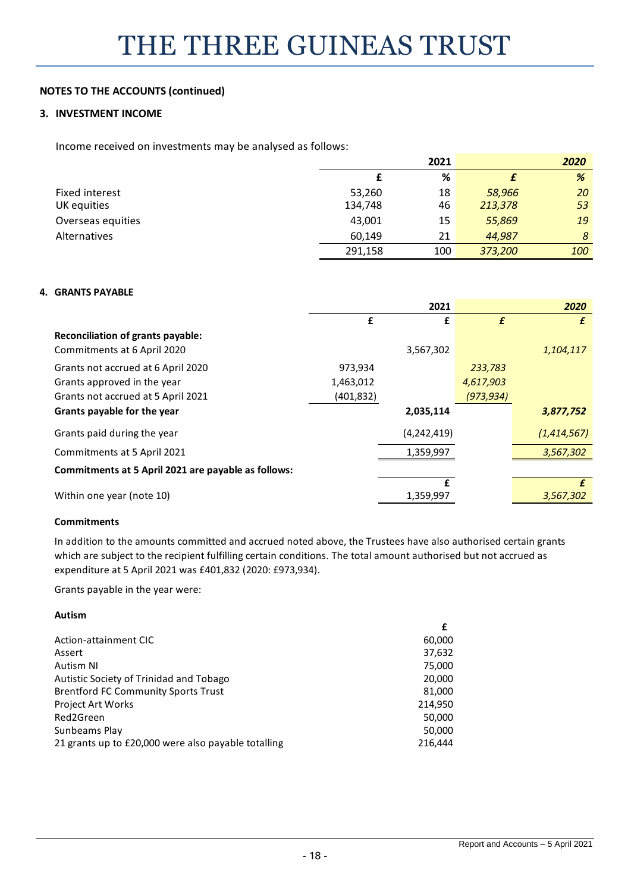#### **3. INVESTMENT INCOME**

Income received on investments may be analysed as follows:

|                       | 2021    |     |         | 2020 |
|-----------------------|---------|-----|---------|------|
|                       |         | %   |         | %    |
| <b>Fixed interest</b> | 53,260  | 18  | 58,966  | 20   |
| UK equities           | 134,748 | 46  | 213,378 | 53   |
| Overseas equities     | 43,001  | 15  | 55,869  | 19   |
| Alternatives          | 60,149  | 21  | 44,987  | 8    |
|                       | 291,158 | 100 | 373,200 | 100  |

#### **4. GRANTS PAYABLE**

|                                                     | 2021       |             |            | 2020        |
|-----------------------------------------------------|------------|-------------|------------|-------------|
|                                                     | £          | £           | £          | £           |
| <b>Reconciliation of grants payable:</b>            |            |             |            |             |
| Commitments at 6 April 2020                         |            | 3,567,302   |            | 1,104,117   |
| Grants not accrued at 6 April 2020                  | 973,934    |             | 233,783    |             |
| Grants approved in the year                         | 1,463,012  |             | 4,617,903  |             |
| Grants not accrued at 5 April 2021                  | (401, 832) |             | (973, 934) |             |
| Grants payable for the year                         |            | 2,035,114   |            | 3,877,752   |
| Grants paid during the year                         |            | (4,242,419) |            | (1,414,567) |
| Commitments at 5 April 2021                         |            | 1,359,997   |            | 3,567,302   |
| Commitments at 5 April 2021 are payable as follows: |            |             |            |             |
|                                                     |            | £           |            | £           |
| Within one year (note 10)                           |            | 1,359,997   |            | 3,567,302   |

#### **Commitments**

In addition to the amounts committed and accrued noted above, the Trustees have also authorised certain grants which are subject to the recipient fulfilling certain conditions. The total amount authorised but not accrued as expenditure at 5 April 2021 was £401,832 (2020: £973,934).

Grants payable in the year were:

#### **Autism**

|                                                     | £       |
|-----------------------------------------------------|---------|
| Action-attainment CIC                               | 60,000  |
| Assert                                              | 37,632  |
| Autism NI                                           | 75,000  |
| Autistic Society of Trinidad and Tobago             | 20,000  |
| <b>Brentford FC Community Sports Trust</b>          | 81,000  |
| Project Art Works                                   | 214,950 |
| Red2Green                                           | 50,000  |
| Sunbeams Play                                       | 50,000  |
| 21 grants up to £20,000 were also payable totalling | 216,444 |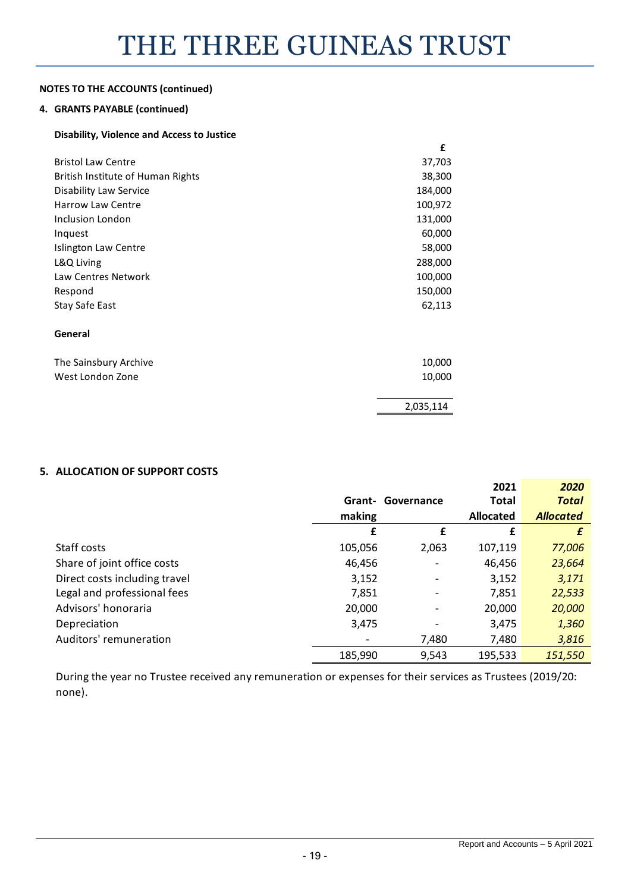#### **4. GRANTS PAYABLE (continued)**

#### **Disability, Violence and Access to Justice**

|                                   | £         |
|-----------------------------------|-----------|
| <b>Bristol Law Centre</b>         | 37,703    |
| British Institute of Human Rights | 38,300    |
| <b>Disability Law Service</b>     | 184,000   |
| <b>Harrow Law Centre</b>          | 100,972   |
| <b>Inclusion London</b>           | 131,000   |
| Inquest                           | 60,000    |
| Islington Law Centre              | 58,000    |
| L&Q Living                        | 288,000   |
| Law Centres Network               | 100,000   |
| Respond                           | 150,000   |
| Stay Safe East                    | 62,113    |
| General                           |           |
| The Sainsbury Archive             | 10,000    |
| West London Zone                  | 10,000    |
|                                   | 2,035,114 |

# **5. ALLOCATION OF SUPPORT COSTS**

|                               |         |                          | 2021             | 2020             |
|-------------------------------|---------|--------------------------|------------------|------------------|
|                               | Grant-  | Governance               | <b>Total</b>     | <b>Total</b>     |
|                               | making  |                          | <b>Allocated</b> | <b>Allocated</b> |
|                               | £       | £                        | £                | £                |
| Staff costs                   | 105,056 | 2,063                    | 107,119          | 77,006           |
| Share of joint office costs   | 46,456  |                          | 46,456           | 23,664           |
| Direct costs including travel | 3,152   | $\overline{\phantom{0}}$ | 3,152            | 3,171            |
| Legal and professional fees   | 7,851   |                          | 7,851            | 22,533           |
| Advisors' honoraria           | 20,000  |                          | 20,000           | 20,000           |
| Depreciation                  | 3,475   |                          | 3,475            | 1,360            |
| Auditors' remuneration        |         | 7,480                    | 7,480            | 3,816            |
|                               | 185,990 | 9,543                    | 195,533          | 151,550          |

During the year no Trustee received any remuneration or expenses for their services as Trustees (2019/20: none).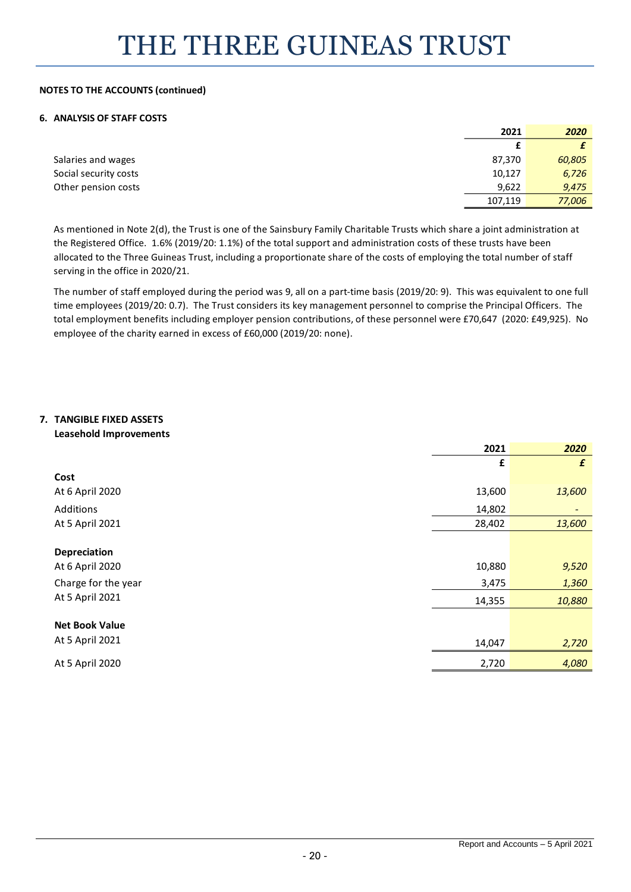#### **6. ANALYSIS OF STAFF COSTS**

|                       | 2021    | 2020   |
|-----------------------|---------|--------|
|                       |         |        |
| Salaries and wages    | 87,370  | 60,805 |
| Social security costs | 10,127  | 6,726  |
| Other pension costs   | 9,622   | 9,475  |
|                       | 107,119 | 77,006 |

As mentioned in Note 2(d), the Trust is one of the Sainsbury Family Charitable Trusts which share a joint administration at the Registered Office. 1.6% (2019/20: 1.1%) of the total support and administration costs of these trusts have been allocated to the Three Guineas Trust, including a proportionate share of the costs of employing the total number of staff serving in the office in 2020/21.

The number of staff employed during the period was 9, all on a part-time basis (2019/20: 9). This was equivalent to one full time employees (2019/20: 0.7). The Trust considers its key management personnel to comprise the Principal Officers. The total employment benefits including employer pension contributions, of these personnel were £70,647 (2020: £49,925). No employee of the charity earned in excess of £60,000 (2019/20: none).

#### **7. TANGIBLE FIXED ASSETS Leasehold Improvements**

|                       | 2021   | 2020   |
|-----------------------|--------|--------|
|                       | £      | £      |
| Cost                  |        |        |
| At 6 April 2020       | 13,600 | 13,600 |
| Additions             | 14,802 | ٠      |
| At 5 April 2021       | 28,402 | 13,600 |
|                       |        |        |
| <b>Depreciation</b>   |        |        |
| At 6 April 2020       | 10,880 | 9,520  |
| Charge for the year   | 3,475  | 1,360  |
| At 5 April 2021       | 14,355 | 10,880 |
|                       |        |        |
| <b>Net Book Value</b> |        |        |
| At 5 April 2021       | 14,047 | 2,720  |
| At 5 April 2020       | 2,720  | 4,080  |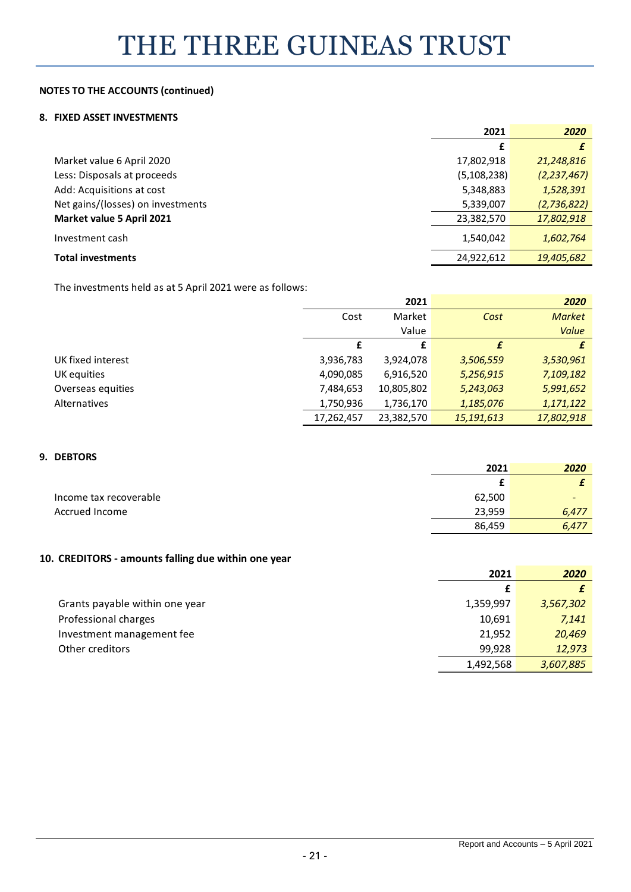#### **8. FIXED ASSET INVESTMENTS**

|                                   | 2021          | 2020          |
|-----------------------------------|---------------|---------------|
|                                   | £             |               |
| Market value 6 April 2020         | 17,802,918    | 21,248,816    |
| Less: Disposals at proceeds       | (5, 108, 238) | (2, 237, 467) |
| Add: Acquisitions at cost         | 5,348,883     | 1,528,391     |
| Net gains/(losses) on investments | 5,339,007     | (2,736,822)   |
| Market value 5 April 2021         | 23,382,570    | 17,802,918    |
| Investment cash                   | 1,540,042     | 1,602,764     |
| <b>Total investments</b>          | 24,922,612    | 19,405,682    |
|                                   |               |               |

The investments held as at 5 April 2021 were as follows:

|                   |            | 2021       |            | 2020          |
|-------------------|------------|------------|------------|---------------|
|                   | Cost       | Market     | Cost       | <b>Market</b> |
|                   |            | Value      |            | Value         |
|                   | £          | £          | £          |               |
| UK fixed interest | 3,936,783  | 3,924,078  | 3,506,559  | 3,530,961     |
| UK equities       | 4,090,085  | 6,916,520  | 5,256,915  | 7,109,182     |
| Overseas equities | 7,484,653  | 10,805,802 | 5,243,063  | 5,991,652     |
| Alternatives      | 1,750,936  | 1,736,170  | 1,185,076  | 1,171,122     |
|                   | 17,262,457 | 23,382,570 | 15,191,613 | 17,802,918    |

#### **9. DEBTORS**

|                        | 2021   | 2020                     |
|------------------------|--------|--------------------------|
|                        |        |                          |
| Income tax recoverable | 62,500 | $\overline{\phantom{a}}$ |
| Accrued Income         | 23,959 | 6,477                    |
|                        | 86,459 | 6,477                    |

#### **10. CREDITORS - amounts falling due within one year**

|                                | 2021      | 2020      |
|--------------------------------|-----------|-----------|
|                                |           |           |
| Grants payable within one year | 1,359,997 | 3,567,302 |
| Professional charges           | 10,691    | 7,141     |
| Investment management fee      | 21.952    | 20,469    |
| Other creditors                | 99.928    | 12,973    |
|                                | 1,492,568 | 3,607,885 |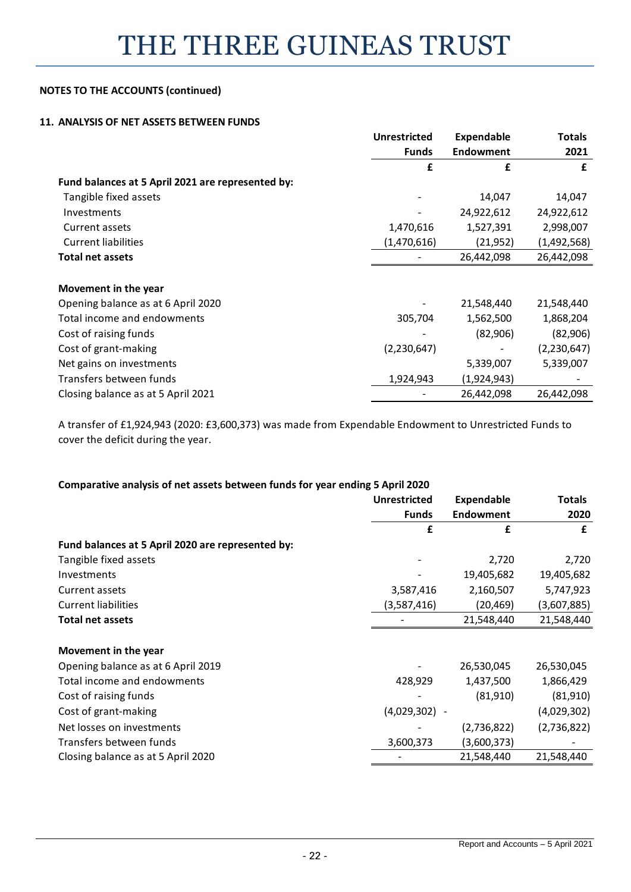#### **11. ANALYSIS OF NET ASSETS BETWEEN FUNDS**

|                                                   | <b>Unrestricted</b> | <b>Expendable</b> | Totals      |
|---------------------------------------------------|---------------------|-------------------|-------------|
|                                                   | <b>Funds</b>        | <b>Endowment</b>  | 2021        |
|                                                   | £                   | £                 | £           |
| Fund balances at 5 April 2021 are represented by: |                     |                   |             |
| Tangible fixed assets                             |                     | 14,047            | 14,047      |
| Investments                                       |                     | 24,922,612        | 24,922,612  |
| Current assets                                    | 1,470,616           | 1,527,391         | 2,998,007   |
| <b>Current liabilities</b>                        | (1,470,616)         | (21,952)          | (1,492,568) |
| <b>Total net assets</b>                           |                     | 26,442,098        | 26,442,098  |
|                                                   |                     |                   |             |
| Movement in the year                              |                     |                   |             |
| Opening balance as at 6 April 2020                |                     | 21,548,440        | 21,548,440  |
| Total income and endowments                       | 305,704             | 1,562,500         | 1,868,204   |
| Cost of raising funds                             |                     | (82,906)          | (82,906)    |
| Cost of grant-making                              | (2,230,647)         |                   | (2,230,647) |
| Net gains on investments                          |                     | 5,339,007         | 5,339,007   |
| Transfers between funds                           | 1,924,943           | (1,924,943)       |             |
| Closing balance as at 5 April 2021                |                     | 26,442,098        | 26,442,098  |

A transfer of £1,924,943 (2020: £3,600,373) was made from Expendable Endowment to Unrestricted Funds to cover the deficit during the year.

### **Comparative analysis of net assets between funds for year ending 5 April 2020**

|                                                   | <b>Unrestricted</b> | <b>Expendable</b>        | <b>Totals</b> |
|---------------------------------------------------|---------------------|--------------------------|---------------|
|                                                   | <b>Funds</b>        | Endowment                | 2020          |
|                                                   | £                   | £                        | £             |
| Fund balances at 5 April 2020 are represented by: |                     |                          |               |
| Tangible fixed assets                             |                     | 2,720                    | 2,720         |
| Investments                                       |                     | 19,405,682               | 19,405,682    |
| Current assets                                    | 3,587,416           | 2,160,507                | 5,747,923     |
| <b>Current liabilities</b>                        | (3,587,416)         | (20,469)                 | (3,607,885)   |
| <b>Total net assets</b>                           |                     | 21,548,440               | 21,548,440    |
| Movement in the year                              |                     |                          |               |
| Opening balance as at 6 April 2019                |                     | 26,530,045               | 26,530,045    |
| Total income and endowments                       | 428,929             | 1,437,500                | 1,866,429     |
| Cost of raising funds                             |                     | (81,910)                 | (81, 910)     |
| Cost of grant-making                              | (4,029,302)         | $\overline{\phantom{a}}$ | (4,029,302)   |
| Net losses on investments                         |                     | (2,736,822)              | (2,736,822)   |
| Transfers between funds                           | 3,600,373           | (3,600,373)              |               |
| Closing balance as at 5 April 2020                |                     | 21,548,440               | 21,548,440    |